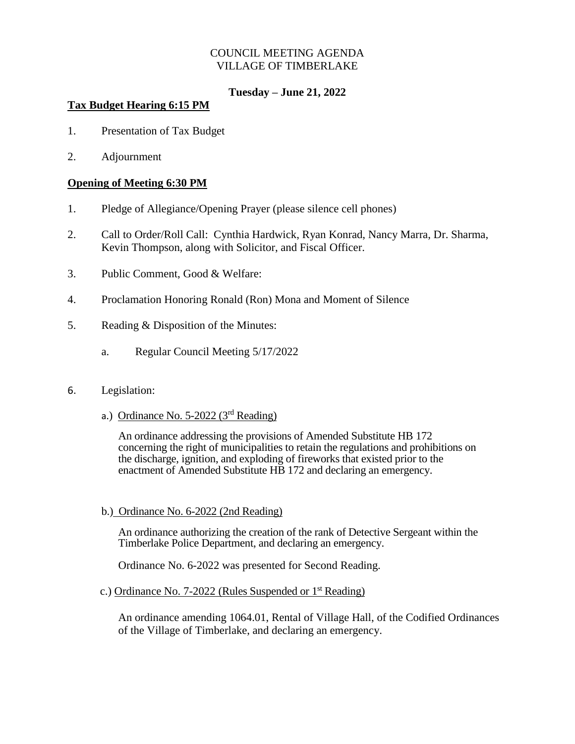## COUNCIL MEETING AGENDA VILLAGE OF TIMBERLAKE

# **Tuesday – June 21, 2022**

# **Tax Budget Hearing 6:15 PM**

- 1. Presentation of Tax Budget
- 2. Adjournment

# **Opening of Meeting 6:30 PM**

- 1. Pledge of Allegiance/Opening Prayer (please silence cell phones)
- 2. Call to Order/Roll Call: Cynthia Hardwick, Ryan Konrad, Nancy Marra, Dr. Sharma, Kevin Thompson, along with Solicitor, and Fiscal Officer.
- 3. Public Comment, Good & Welfare:
- 4. Proclamation Honoring Ronald (Ron) Mona and Moment of Silence
- 5. Reading & Disposition of the Minutes:
	- a. Regular Council Meeting 5/17/2022

### 6. Legislation:

a.) Ordinance No. 5-2022 (3<sup>rd</sup> Reading)

An ordinance addressing the provisions of Amended Substitute HB 172 concerning the right of municipalities to retain the regulations and prohibitions on the discharge, ignition, and exploding of fireworks that existed prior to the enactment of Amended Substitute HB 172 and declaring an emergency.

b.) Ordinance No. 6-2022 (2nd Reading)

An ordinance authorizing the creation of the rank of Detective Sergeant within the Timberlake Police Department, and declaring an emergency.

Ordinance No. 6-2022 was presented for Second Reading.

#### c.) Ordinance No. 7-2022 (Rules Suspended or 1st Reading)

An ordinance amending 1064.01, Rental of Village Hall, of the Codified Ordinances of the Village of Timberlake, and declaring an emergency.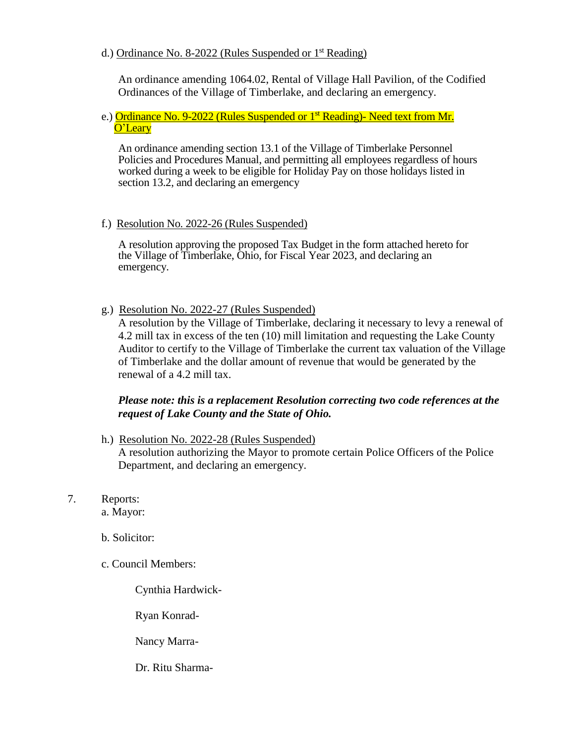### d.) Ordinance No. 8-2022 (Rules Suspended or 1st Reading)

An ordinance amending 1064.02, Rental of Village Hall Pavilion, of the Codified Ordinances of the Village of Timberlake, and declaring an emergency.

#### e.) Ordinance No. 9-2022 (Rules Suspended or 1<sup>st</sup> Reading)- Need text from Mr. O'Leary

An ordinance amending section 13.1 of the Village of Timberlake Personnel Policies and Procedures Manual, and permitting all employees regardless of hours worked during a week to be eligible for Holiday Pay on those holidays listed in section 13.2, and declaring an emergency

### f.) Resolution No. 2022-26 (Rules Suspended)

A resolution approving the proposed Tax Budget in the form attached hereto for the Village of Timberlake, Ohio, for Fiscal Year 2023, and declaring an emergency.

### g.) Resolution No. 2022-27 (Rules Suspended)

A resolution by the Village of Timberlake, declaring it necessary to levy a renewal of 4.2 mill tax in excess of the ten (10) mill limitation and requesting the Lake County Auditor to certify to the Village of Timberlake the current tax valuation of the Village of Timberlake and the dollar amount of revenue that would be generated by the renewal of a 4.2 mill tax.

# *Please note: this is a replacement Resolution correcting two code references at the request of Lake County and the State of Ohio.*

h.) Resolution No. 2022-28 (Rules Suspended)

A resolution authorizing the Mayor to promote certain Police Officers of the Police Department, and declaring an emergency.

7. Reports:

a. Mayor:

- b. Solicitor:
- c. Council Members:

Cynthia Hardwick-

Ryan Konrad-

Nancy Marra-

Dr. Ritu Sharma-